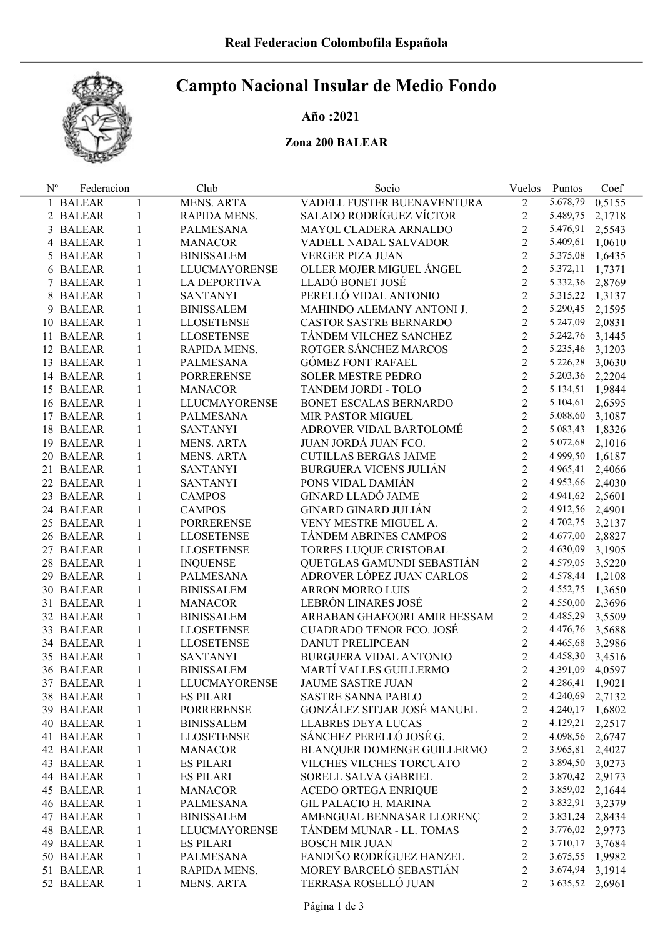# Campto Nacional Insular de Medio Fondo

## Año :2021

## Zona 200 BALEAR

| $N^{\rm o}$ | Federacion |              | Club                 | Socio                         | Vuelos         | Puntos          | Coef   |
|-------------|------------|--------------|----------------------|-------------------------------|----------------|-----------------|--------|
|             | 1 BALEAR   | $\mathbf{1}$ | <b>MENS. ARTA</b>    | VADELL FUSTER BUENAVENTURA    | $\overline{2}$ | 5.678,79        | 0,5155 |
|             | 2 BALEAR   | 1            | RAPIDA MENS.         | SALADO RODRÍGUEZ VÍCTOR       | $\overline{c}$ | 5.489,75        | 2,1718 |
|             | 3 BALEAR   | 1            | PALMESANA            | MAYOL CLADERA ARNALDO         | $\overline{2}$ | 5.476,91        | 2,5543 |
|             | 4 BALEAR   | 1            | <b>MANACOR</b>       | VADELL NADAL SALVADOR         | $\overline{2}$ | 5.409,61        | 1,0610 |
|             | 5 BALEAR   | $\mathbf{1}$ | <b>BINISSALEM</b>    | VERGER PIZA JUAN              | $\overline{2}$ | 5.375,08        | 1,6435 |
|             | 6 BALEAR   | $\mathbf{1}$ | <b>LLUCMAYORENSE</b> | OLLER MOJER MIGUEL ÁNGEL      | $\overline{2}$ | 5.372,11        | 1,7371 |
|             | 7 BALEAR   | $\mathbf{1}$ | LA DEPORTIVA         | LLADÓ BONET JOSÉ              | $\overline{2}$ | 5.332,36        | 2,8769 |
|             | 8 BALEAR   | $\mathbf{1}$ | <b>SANTANYI</b>      | PERELLÓ VIDAL ANTONIO         | $\overline{2}$ | 5.315,22        | 1,3137 |
|             | 9 BALEAR   | $\mathbf{1}$ | <b>BINISSALEM</b>    | MAHINDO ALEMANY ANTONI J.     | $\overline{2}$ | 5.290,45        | 2,1595 |
|             | 10 BALEAR  | $\mathbf{1}$ | <b>LLOSETENSE</b>    | CASTOR SASTRE BERNARDO        | $\overline{2}$ | 5.247,09        | 2,0831 |
|             | 11 BALEAR  | $\mathbf{1}$ | <b>LLOSETENSE</b>    | TÁNDEM VILCHEZ SANCHEZ        | $\overline{2}$ | 5.242,76        | 3,1445 |
|             | 12 BALEAR  | $\mathbf{1}$ | RAPIDA MENS.         | ROTGER SÁNCHEZ MARCOS         | $\overline{2}$ | 5.235,46        | 3,1203 |
|             | 13 BALEAR  | $\mathbf{1}$ | PALMESANA            | <b>GÓMEZ FONT RAFAEL</b>      | $\overline{2}$ | 5.226,28        | 3,0630 |
|             | 14 BALEAR  | $\mathbf{1}$ | <b>PORRERENSE</b>    | <b>SOLER MESTRE PEDRO</b>     | $\overline{2}$ | 5.203,36 2,2204 |        |
|             | 15 BALEAR  | $\mathbf{1}$ | <b>MANACOR</b>       | TANDEM JORDI - TOLO           | $\overline{2}$ | 5.134,51        | 1,9844 |
|             | 16 BALEAR  | $\mathbf{1}$ | <b>LLUCMAYORENSE</b> | BONET ESCALAS BERNARDO        | $\overline{2}$ | 5.104,61        | 2,6595 |
|             | 17 BALEAR  | $\mathbf{1}$ | PALMESANA            | MIR PASTOR MIGUEL             | $\overline{2}$ | 5.088,60        | 3,1087 |
|             | 18 BALEAR  | $\mathbf{1}$ | <b>SANTANYI</b>      | ADROVER VIDAL BARTOLOMÉ       | $\overline{2}$ | 5.083,43 1,8326 |        |
|             | 19 BALEAR  | $\mathbf{1}$ | MENS. ARTA           | JUAN JORDÁ JUAN FCO.          | $\overline{2}$ | 5.072,68 2,1016 |        |
|             | 20 BALEAR  | $\mathbf{1}$ | MENS. ARTA           | <b>CUTILLAS BERGAS JAIME</b>  | $\overline{2}$ | 4.999,50        | 1,6187 |
|             | 21 BALEAR  | $\mathbf{1}$ | <b>SANTANYI</b>      | <b>BURGUERA VICENS JULIÁN</b> | $\overline{2}$ | 4.965,41        | 2,4066 |
|             | 22 BALEAR  | $\mathbf{1}$ | <b>SANTANYI</b>      | PONS VIDAL DAMIÁN             | $\overline{2}$ | 4.953,66 2,4030 |        |
|             | 23 BALEAR  | $\mathbf{1}$ | <b>CAMPOS</b>        | <b>GINARD LLADÓ JAIME</b>     | $\overline{2}$ | 4.941,62 2,5601 |        |
|             | 24 BALEAR  | $\mathbf{1}$ | <b>CAMPOS</b>        | <b>GINARD GINARD JULIÁN</b>   | $\overline{2}$ | 4.912,56 2,4901 |        |
|             | 25 BALEAR  | $\mathbf{1}$ | <b>PORRERENSE</b>    | VENY MESTRE MIGUEL A.         | $\overline{2}$ |                 |        |
|             |            | $\mathbf{1}$ |                      |                               | $\overline{2}$ | 4.702,75 3,2137 |        |
|             | 26 BALEAR  |              | <b>LLOSETENSE</b>    | TÁNDEM ABRINES CAMPOS         | $\overline{2}$ | 4.677,00 2,8827 |        |
|             | 27 BALEAR  | $\mathbf{1}$ | <b>LLOSETENSE</b>    | TORRES LUQUE CRISTOBAL        | $\overline{2}$ | 4.630,09 3,1905 |        |
|             | 28 BALEAR  | $\mathbf{1}$ | <b>INQUENSE</b>      | QUETGLAS GAMUNDI SEBASTIÁN    |                | 4.579,05 3,5220 |        |
|             | 29 BALEAR  | $\mathbf{1}$ | PALMESANA            | ADROVER LÓPEZ JUAN CARLOS     | $\overline{2}$ | 4.578,44 1,2108 |        |
|             | 30 BALEAR  | $\mathbf{1}$ | <b>BINISSALEM</b>    | <b>ARRON MORRO LUIS</b>       | $\overline{2}$ | 4.552,75        | 1,3650 |
|             | 31 BALEAR  | $\mathbf{1}$ | <b>MANACOR</b>       | LEBRÓN LINARES JOSÉ           | $\overline{2}$ | 4.550,00 2,3696 |        |
|             | 32 BALEAR  | $\mathbf{1}$ | <b>BINISSALEM</b>    | ARBABAN GHAFOORI AMIR HESSAM  | $\overline{2}$ | 4.485,29        | 3,5509 |
|             | 33 BALEAR  | $\mathbf{1}$ | <b>LLOSETENSE</b>    | CUADRADO TENOR FCO. JOSÉ      | $\overline{2}$ | 4.476,76        | 3,5688 |
|             | 34 BALEAR  | $\mathbf{1}$ | <b>LLOSETENSE</b>    | <b>DANUT PRELIPCEAN</b>       | $\overline{2}$ | 4.465,68        | 3,2986 |
|             | 35 BALEAR  | $\mathbf{1}$ | <b>SANTANYI</b>      | BURGUERA VIDAL ANTONIO        | $\overline{2}$ | 4.458,30        | 3,4516 |
|             | 36 BALEAR  | $\mathbf{1}$ | <b>BINISSALEM</b>    | MARTÍ VALLES GUILLERMO        | $\overline{2}$ | 4.391,09 4,0597 |        |
|             | 37 BALEAR  | 1            | LLUCMAYORENSE        | <b>JAUME SASTRE JUAN</b>      | 2              | 4.286,41        | 1,9021 |
|             | 38 BALEAR  | 1            | <b>ES PILARI</b>     | <b>SASTRE SANNA PABLO</b>     | $\overline{c}$ | 4.240,69        | 2,7132 |
|             | 39 BALEAR  | 1            | <b>PORRERENSE</b>    | GONZÁLEZ SITJAR JOSÉ MANUEL   | $\overline{c}$ | 4.240,17        | 1,6802 |
|             | 40 BALEAR  | $\mathbf{1}$ | <b>BINISSALEM</b>    | LLABRES DEYA LUCAS            | $\overline{c}$ | 4.129,21 2,2517 |        |
|             | 41 BALEAR  | $\mathbf{1}$ | <b>LLOSETENSE</b>    | SÁNCHEZ PERELLÓ JOSÉ G.       | $\overline{c}$ | 4.098,56 2,6747 |        |
|             | 42 BALEAR  | $\mathbf{1}$ | <b>MANACOR</b>       | BLANQUER DOMENGE GUILLERMO    | $\overline{c}$ | 3.965,81 2,4027 |        |
|             | 43 BALEAR  | 1            | <b>ES PILARI</b>     | VILCHES VILCHES TORCUATO      | $\overline{c}$ | 3.894,50 3,0273 |        |
|             | 44 BALEAR  | 1            | <b>ES PILARI</b>     | SORELL SALVA GABRIEL          | $\overline{c}$ | 3.870,42 2,9173 |        |
|             | 45 BALEAR  | 1            | <b>MANACOR</b>       | ACEDO ORTEGA ENRIQUE          | $\overline{c}$ | 3.859,02 2,1644 |        |
|             | 46 BALEAR  | 1            | <b>PALMESANA</b>     | <b>GIL PALACIO H. MARINA</b>  | $\overline{c}$ | 3.832,91 3,2379 |        |
|             | 47 BALEAR  | 1            | <b>BINISSALEM</b>    | AMENGUAL BENNASAR LLORENC     | $\overline{c}$ | 3.831,24 2,8434 |        |
|             | 48 BALEAR  | 1            | LLUCMAYORENSE        | TÁNDEM MUNAR - LL. TOMAS      | $\overline{2}$ | 3.776,02 2,9773 |        |
|             | 49 BALEAR  | 1            | <b>ES PILARI</b>     | <b>BOSCH MIR JUAN</b>         | $\overline{c}$ | 3.710,17 3,7684 |        |
|             | 50 BALEAR  | 1            | <b>PALMESANA</b>     | FANDIÑO RODRÍGUEZ HANZEL      | $\overline{c}$ | 3.675,55 1,9982 |        |
|             | 51 BALEAR  | 1            | RAPIDA MENS.         | MOREY BARCELÓ SEBASTIÁN       | $\overline{c}$ | 3.674,94        | 3,1914 |
|             | 52 BALEAR  | 1            | <b>MENS. ARTA</b>    | TERRASA ROSELLÓ JUAN          | $\overline{2}$ | 3.635,52 2,6961 |        |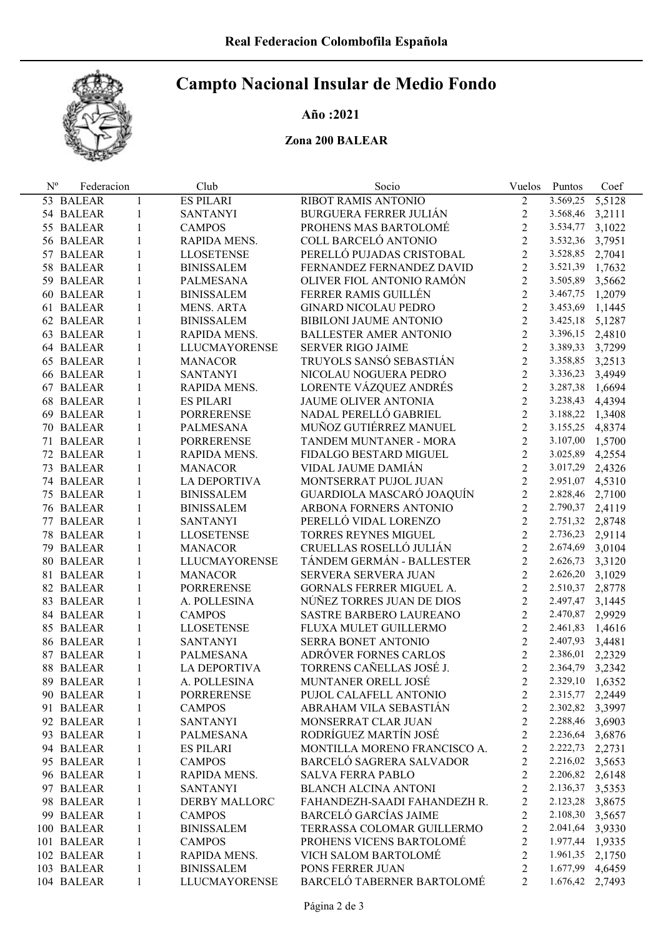# Campto Nacional Insular de Medio Fondo

# Año :2021

## Zona 200 BALEAR

| $N^{\rm o}$ | Federacion |              | Club                 | Socio                         | Vuelos         | Puntos          | Coef   |
|-------------|------------|--------------|----------------------|-------------------------------|----------------|-----------------|--------|
|             | 53 BALEAR  | 1            | <b>ES PILARI</b>     | RIBOT RAMIS ANTONIO           | $\overline{2}$ | 3.569,25        | 5,5128 |
|             | 54 BALEAR  | 1            | <b>SANTANYI</b>      | <b>BURGUERA FERRER JULIÁN</b> | $2\,$          | 3.568,46        | 3,2111 |
|             | 55 BALEAR  | 1            | <b>CAMPOS</b>        | PROHENS MAS BARTOLOMÉ         | $\overline{2}$ | 3.534,77        | 3,1022 |
|             | 56 BALEAR  | 1            | RAPIDA MENS.         | COLL BARCELÓ ANTONIO          | $\overline{2}$ | 3.532,36        | 3,7951 |
|             | 57 BALEAR  | $\mathbf{1}$ | <b>LLOSETENSE</b>    | PERELLÓ PUJADAS CRISTOBAL     | $\overline{2}$ | 3.528,85        | 2,7041 |
|             | 58 BALEAR  | 1            | <b>BINISSALEM</b>    | FERNANDEZ FERNANDEZ DAVID     | $\overline{2}$ | 3.521,39        | 1,7632 |
|             | 59 BALEAR  | 1            | PALMESANA            | OLIVER FIOL ANTONIO RAMÓN     | $\overline{2}$ | 3.505,89        | 3,5662 |
|             | 60 BALEAR  | 1            | <b>BINISSALEM</b>    | FERRER RAMIS GUILLÉN          | $\overline{2}$ | 3.467,75        | 1,2079 |
|             | 61 BALEAR  | 1            | <b>MENS. ARTA</b>    | GINARD NICOLAU PEDRO          | $\overline{2}$ | 3.453,69        | 1,1445 |
|             | 62 BALEAR  | 1            | <b>BINISSALEM</b>    | BIBILONI JAUME ANTONIO        | $\overline{2}$ | 3.425,18        | 5,1287 |
|             | 63 BALEAR  | 1            | RAPIDA MENS.         | <b>BALLESTER AMER ANTONIO</b> | $\overline{2}$ | 3.396,15        | 2,4810 |
|             | 64 BALEAR  | 1            | <b>LLUCMAYORENSE</b> | <b>SERVER RIGO JAIME</b>      | $\overline{2}$ | 3.389,33        | 3,7299 |
|             | 65 BALEAR  | 1            | <b>MANACOR</b>       | TRUYOLS SANSÓ SEBASTIÁN       | $\overline{2}$ | 3.358,85        | 3,2513 |
|             | 66 BALEAR  | 1            | <b>SANTANYI</b>      | NICOLAU NOGUERA PEDRO         | $\overline{2}$ | 3.336,23        | 3,4949 |
|             | 67 BALEAR  | 1            | RAPIDA MENS.         | LORENTE VÁZQUEZ ANDRÉS        | $\overline{2}$ | 3.287,38        | 1,6694 |
|             | 68 BALEAR  | 1            | <b>ES PILARI</b>     | JAUME OLIVER ANTONIA          | $\overline{2}$ | 3.238,43        | 4,4394 |
|             | 69 BALEAR  | 1            | <b>PORRERENSE</b>    | NADAL PERELLÓ GABRIEL         | $\overline{2}$ | 3.188,22        | 1,3408 |
|             | 70 BALEAR  | 1            | PALMESANA            | MUÑOZ GUTIÉRREZ MANUEL        | $\overline{2}$ | 3.155,25        | 4,8374 |
|             | 71 BALEAR  | 1            | <b>PORRERENSE</b>    | TANDEM MUNTANER - MORA        | $\overline{2}$ | 3.107,00        | 1,5700 |
|             | 72 BALEAR  | 1            | RAPIDA MENS.         | FIDALGO BESTARD MIGUEL        | $\overline{2}$ | 3.025,89        | 4,2554 |
|             | 73 BALEAR  | 1            | <b>MANACOR</b>       | VIDAL JAUME DAMIÁN            | $\overline{2}$ | 3.017,29        | 2,4326 |
|             | 74 BALEAR  | 1            | LA DEPORTIVA         | MONTSERRAT PUJOL JUAN         | $\overline{2}$ | 2.951,07        | 4,5310 |
|             | 75 BALEAR  | 1            | <b>BINISSALEM</b>    | GUARDIOLA MASCARÓ JOAQUÍN     | $\overline{2}$ | 2.828,46        | 2,7100 |
|             |            |              |                      | ARBONA FORNERS ANTONIO        | $\overline{2}$ | 2.790,37        |        |
|             | 76 BALEAR  | 1            | <b>BINISSALEM</b>    | PERELLÓ VIDAL LORENZO         | $\overline{2}$ | 2.751,32        | 2,4119 |
|             | 77 BALEAR  | 1            | <b>SANTANYI</b>      |                               | $\overline{2}$ |                 | 2,8748 |
|             | 78 BALEAR  | 1            | LLOSETENSE           | TORRES REYNES MIGUEL          | $\overline{2}$ | 2.736,23        | 2,9114 |
|             | 79 BALEAR  | 1            | <b>MANACOR</b>       | CRUELLAS ROSELLÓ JULIÁN       |                | 2.674,69        | 3,0104 |
|             | 80 BALEAR  | 1            | <b>LLUCMAYORENSE</b> | TÁNDEM GERMÁN - BALLESTER     | $\overline{2}$ | 2.626,73        | 3,3120 |
|             | 81 BALEAR  | 1            | <b>MANACOR</b>       | SERVERA SERVERA JUAN          | $\overline{2}$ | 2.626,20        | 3,1029 |
|             | 82 BALEAR  | 1            | <b>PORRERENSE</b>    | GORNALS FERRER MIGUEL A.      | $\overline{2}$ | 2.510,37        | 2,8778 |
|             | 83 BALEAR  | 1            | A. POLLESINA         | NÚÑEZ TORRES JUAN DE DIOS     | $\overline{2}$ | 2.497,47        | 3,1445 |
|             | 84 BALEAR  | 1            | <b>CAMPOS</b>        | SASTRE BARBERO LAUREANO       | $\overline{2}$ | 2.470,87        | 2,9929 |
|             | 85 BALEAR  | 1            | <b>LLOSETENSE</b>    | FLUXA MULET GUILLERMO         | $\overline{2}$ | 2.461,83        | 1,4616 |
|             | 86 BALEAR  | 1            | <b>SANTANYI</b>      | SERRA BONET ANTONIO           | $\overline{2}$ | 2.407,93        | 3,4481 |
|             | 87 BALEAR  | 1            | PALMESANA            | ADRÓVER FORNES CARLOS         | $\overline{2}$ | 2.386,01        | 2,2329 |
|             | 88 BALEAR  | 1            | <b>LA DEPORTIVA</b>  | TORRENS CAÑELLAS JOSÉ J.      | $\overline{2}$ | 2.364,79 3,2342 |        |
|             | 89 BALEAR  | 1            | A. POLLESINA         | MUNTANER ORELL JOSÉ           | 2              | 2.329,10        | 1,6352 |
|             | 90 BALEAR  | 1            | <b>PORRERENSE</b>    | PUJOL CALAFELL ANTONIO        | 2              | 2.315,77        | 2,2449 |
|             | 91 BALEAR  | 1            | <b>CAMPOS</b>        | ABRAHAM VILA SEBASTIÁN        | $\overline{2}$ | 2.302,82 3,3997 |        |
|             | 92 BALEAR  | 1            | <b>SANTANYI</b>      | MONSERRAT CLAR JUAN           | $\overline{2}$ | 2.288,46 3,6903 |        |
|             | 93 BALEAR  | 1            | PALMESANA            | RODRÍGUEZ MARTÍN JOSÉ         | $\overline{c}$ | 2.236,64 3,6876 |        |
|             | 94 BALEAR  | 1            | <b>ES PILARI</b>     | MONTILLA MORENO FRANCISCO A.  | $\overline{2}$ | 2.222,73        | 2,2731 |
|             | 95 BALEAR  | $\mathbf{1}$ | <b>CAMPOS</b>        | BARCELÓ SAGRERA SALVADOR      | $\overline{2}$ | 2.216,02 3,5653 |        |
|             | 96 BALEAR  | 1            | RAPIDA MENS.         | <b>SALVA FERRA PABLO</b>      | $\overline{2}$ | 2.206,82        | 2,6148 |
|             | 97 BALEAR  | 1            | <b>SANTANYI</b>      | <b>BLANCH ALCINA ANTONI</b>   | $\overline{c}$ | 2.136,37        | 3,5353 |
|             | 98 BALEAR  | $\mathbf{1}$ | DERBY MALLORC        | FAHANDEZH-SAADI FAHANDEZH R.  | $\overline{c}$ | 2.123,28        | 3,8675 |
|             | 99 BALEAR  | $\mathbf{1}$ | <b>CAMPOS</b>        | <b>BARCELÓ GARCÍAS JAIME</b>  | $\overline{c}$ | 2.108,30        | 3,5657 |
|             | 100 BALEAR | 1            | <b>BINISSALEM</b>    | TERRASSA COLOMAR GUILLERMO    | 2              | 2.041,64        | 3,9330 |
|             | 101 BALEAR | $\mathbf{1}$ | <b>CAMPOS</b>        | PROHENS VICENS BARTOLOMÉ      | $\overline{2}$ | 1.977,44 1,9335 |        |
|             | 102 BALEAR | $\mathbf{1}$ | RAPIDA MENS.         | VICH SALOM BARTOLOMÉ          | $\overline{2}$ | 1.961,35        | 2,1750 |
|             | 103 BALEAR | 1            | <b>BINISSALEM</b>    | PONS FERRER JUAN              | 2              | 1.677,99        | 4,6459 |
|             | 104 BALEAR | 1            | <b>LLUCMAYORENSE</b> | BARCELÓ TABERNER BARTOLOMÉ    | 2              | 1.676,42 2,7493 |        |